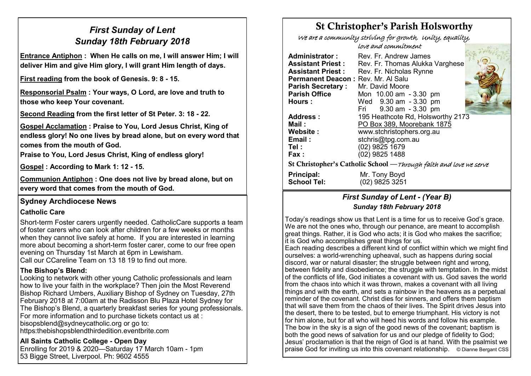## *First Sunday of Lent Sunday 18th February 2018*

**Entrance Antiphon : When He calls on me, I will answer Him; I will deliver Him and give Him glory, I will grant Him length of days.**

**First reading from the book of Genesis. 9: 8 - 15.**

**Responsorial Psalm : Your ways, O Lord, are love and truth to those who keep Your covenant.**

**Second Reading from the first letter of St Peter. 3: 18 - 22.**

**Gospel Acclamation : Praise to You, Lord Jesus Christ, King of endless glory! No one lives by bread alone, but on every word that comes from the mouth of God.** 

**Praise to You, Lord Jesus Christ, King of endless glory!**

**Gospel : According to Mark 1: 12 - 15.**

**Communion Antiphon : One does not live by bread alone, but on every word that comes from the mouth of God.**

## **Sydney Archdiocese News**

#### **Catholic Care**

Short-term Foster carers urgently needed. CatholicCare supports a team of foster carers who can look after children for a few weeks or months when they cannot live safely at home. If you are interested in learning more about becoming a short-term foster carer, come to our free open evening on Thursday 1st March at 6pm in Lewisham. Call our CCareline Team on 13 18 19 to find out more.

#### **The Bishop's Blend:**

Looking to network with other young Catholic professionals and learn how to live your faith in the workplace? Then join the Most Reverend Bishop Richard Umbers, Auxiliary Bishop of Sydney on Tuesday, 27th February 2018 at 7:00am at the Radisson Blu Plaza Hotel Sydney for The Bishop's Blend, a quarterly breakfast series for young professionals. For more information and to purchase tickets contact us at : bisopsblend@sydneycatholic.org or go to: https:thebishopsblendthirdedition.eventbrite.com

#### **All Saints Catholic College - Open Day**

Enrolling for 2019 & 2020—Saturday 17 March 10am - 1pm 53 Bigge Street, Liverpool. Ph: 9602 4555

# St Christopher's Parish Holsworthy

We are a community striving for growth, Unity, equality,

love and commitment

| <b>Administrator:</b>                                              | Rev. Fr. Andrew James             |  |  |  |  |
|--------------------------------------------------------------------|-----------------------------------|--|--|--|--|
| Assistant Priest :                                                 | Rev. Fr. Thomas Alukka Varghese   |  |  |  |  |
| Assistant Priest :                                                 | Rev. Fr. Nicholas Rynne           |  |  |  |  |
| Permanent Deacon: Rev. Mr. Al Salu                                 |                                   |  |  |  |  |
| <b>Parish Secretary:</b>                                           | Mr. David Moore                   |  |  |  |  |
| <b>Parish Office</b>                                               | Mon 10.00 am - 3.30 pm            |  |  |  |  |
| <b>Hours:</b>                                                      | Wed 9.30 am - 3.30 pm             |  |  |  |  |
|                                                                    | Fri 9.30 am - 3.30 pm             |  |  |  |  |
| <b>Address:</b>                                                    | 195 Heathcote Rd, Holsworthy 2173 |  |  |  |  |
| Mail:                                                              | PO Box 389, Moorebank 1875        |  |  |  |  |
| <b>Website:</b>                                                    | www.stchristophers.org.au         |  |  |  |  |
| Email:                                                             | stchris@tpg.com.au                |  |  |  |  |
| Tel :                                                              | (02) 9825 1679                    |  |  |  |  |
| <b>Fax:</b>                                                        | (02) 9825 1488                    |  |  |  |  |
| St Christopher's Catholic School — Through faith and love we serve |                                   |  |  |  |  |
| Principal:<br><b>School Tel:</b>                                   | Mr. Tony Boyd<br>(02) 9825 3251   |  |  |  |  |

## *First Sunday of Lent - (Year B) Sunday 18th February 2018*

Today's readings show us that Lent is a time for us to receive God's grace. We are not the ones who, through our penance, are meant to accomplish great things. Rather, it is God who acts; it is God who makes the sacrifice; it is God who accomplishes great things for us.

Each reading describes a different kind of conflict within which we might find ourselves: a world-wrenching upheaval, such as happens during social discord, war or natural disaster; the struggle between right and wrong, between fidelity and disobedience; the struggle with temptation. In the midst of the conflicts of life, God initiates a covenant with us. God saves the world from the chaos into which it was thrown, makes a covenant with all living things and with the earth, and sets a rainbow in the heavens as a perpetual reminder of the covenant. Christ dies for sinners, and offers them baptism that will save them from the chaos of their lives. The Spirit drives Jesus into the desert, there to be tested, but to emerge triumphant. His victory is not for him alone, but for all who will heed his words and follow his example. The bow in the sky is a sign of the good news of the covenant; baptism is both the good news of salvation for us and our pledge of fidelity to God; Jesus' proclamation is that the reign of God is at hand. With the psalmist we praise God for inviting us into this covenant relationship. © Dianne Bergant CSS